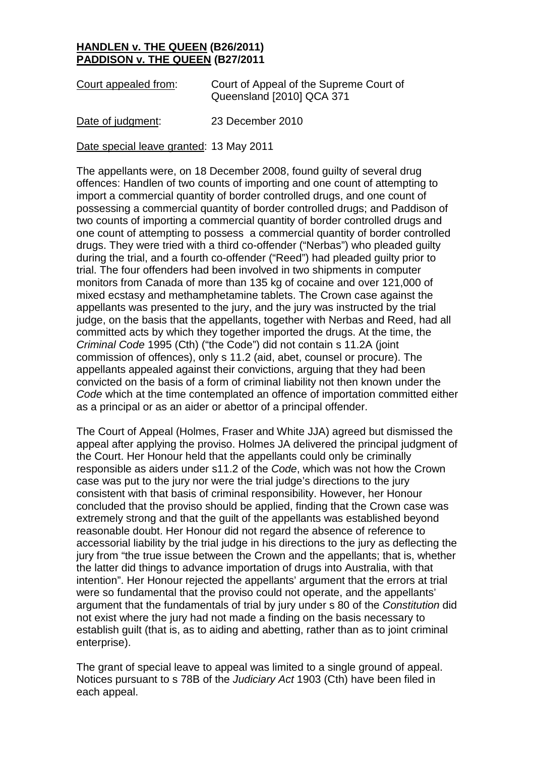## **HANDLEN v. THE QUEEN (B26/2011) PADDISON v. THE QUEEN (B27/2011**

Court appealed from: Court of Appeal of the Supreme Court of Queensland [2010] QCA 371

Date of judgment: 23 December 2010

Date special leave granted: 13 May 2011

The appellants were, on 18 December 2008, found guilty of several drug offences: Handlen of two counts of importing and one count of attempting to import a commercial quantity of border controlled drugs, and one count of possessing a commercial quantity of border controlled drugs; and Paddison of two counts of importing a commercial quantity of border controlled drugs and one count of attempting to possess a commercial quantity of border controlled drugs. They were tried with a third co-offender ("Nerbas") who pleaded guilty during the trial, and a fourth co-offender ("Reed") had pleaded guilty prior to trial. The four offenders had been involved in two shipments in computer monitors from Canada of more than 135 kg of cocaine and over 121,000 of mixed ecstasy and methamphetamine tablets. The Crown case against the appellants was presented to the jury, and the jury was instructed by the trial judge, on the basis that the appellants, together with Nerbas and Reed, had all committed acts by which they together imported the drugs. At the time, the *Criminal Code* 1995 (Cth) ("the Code") did not contain s 11.2A (joint commission of offences), only s 11.2 (aid, abet, counsel or procure). The appellants appealed against their convictions, arguing that they had been convicted on the basis of a form of criminal liability not then known under the *Code* which at the time contemplated an offence of importation committed either as a principal or as an aider or abettor of a principal offender.

The Court of Appeal (Holmes, Fraser and White JJA) agreed but dismissed the appeal after applying the proviso. Holmes JA delivered the principal judgment of the Court. Her Honour held that the appellants could only be criminally responsible as aiders under s11.2 of the *Code*, which was not how the Crown case was put to the jury nor were the trial judge's directions to the jury consistent with that basis of criminal responsibility. However, her Honour concluded that the proviso should be applied, finding that the Crown case was extremely strong and that the guilt of the appellants was established beyond reasonable doubt. Her Honour did not regard the absence of reference to accessorial liability by the trial judge in his directions to the jury as deflecting the jury from "the true issue between the Crown and the appellants; that is, whether the latter did things to advance importation of drugs into Australia, with that intention". Her Honour rejected the appellants' argument that the errors at trial were so fundamental that the proviso could not operate, and the appellants' argument that the fundamentals of trial by jury under s 80 of the *Constitution* did not exist where the jury had not made a finding on the basis necessary to establish guilt (that is, as to aiding and abetting, rather than as to joint criminal enterprise).

The grant of special leave to appeal was limited to a single ground of appeal. Notices pursuant to s 78B of the *Judiciary Act* 1903 (Cth) have been filed in each appeal.